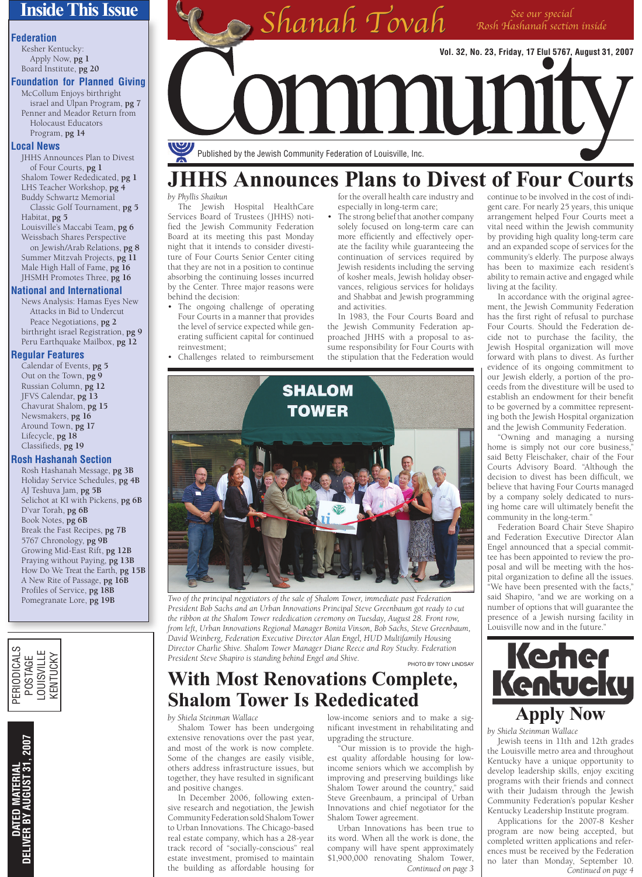## **Inside This Issue**

#### **Federation**

Kesher Kentucky: Apply Now, **pg 1** Board Institute, **pg 20**

**Foundation for Planned Giving**

McCollum Enjoys birthright israel and Ulpan Program, **pg 7** Penner and Meador Return from Holocaust Educators Program, **pg 14**

#### **Local News**

JHHS Announces Plan to Divest of Four Courts, **pg 1** Shalom Tower Rededicated, **pg 1** LHS Teacher Workshop, **pg 4** Buddy Schwartz Memorial Classic Golf Tournament, **pg 5**

Habitat, **pg 5** Louisville's Maccabi Team, **pg 6** Weissbach Shares Perspective on Jewish/Arab Relations, **pg 8** Summer Mitzvah Projects, **pg 11** Male High Hall of Fame, **pg 16** JHSMH Promotes Three, **pg 16**

#### **National and International**

News Analysis: Hamas Eyes New Attacks in Bid to Undercut Peace Negotiations, **pg 2** birthright israel Registration, **pg 9** Peru Earthquake Mailbox, **pg 12**

#### **Regular Features**

Calendar of Events, **pg 5** Out on the Town, **pg 9** Russian Column, **pg 12** JFVS Calendar, **pg 13** Chavurat Shalom, **pg 15** Newsmakers, **pg 16** Around Town, **pg 17** Lifecycle, **pg 18** Classifieds, **pg 19**

#### **Rosh Hashanah Section**

Rosh Hashanah Message, **pg 3B** Holiday Service Schedules, **pg 4B** AJ Teshuva Jam, **pg 5B** Selichot at KI with Pickens, **pg 6B** D'var Torah, **pg 6B** Book Notes, **pg 6B** Break the Fast Recipes, **pg 7B** 5767 Chronology, **pg 9B** Growing Mid-East Rift, **pg 12B** Praying without Paying, **pg 13B** How Do We Treat the Earth, **pg 15B** A New Rite of Passage, **pg 16B** Profiles of Service, **pg 18B** Pomegranate Lore, **pg 19B**





 $Shanah$   $\mathcal T$ ovah Rosh Hashanah section Rosh Hashanah section inside **Vol. 32, No. 23, Friday, 17 Elul 5767, August 31, 2007** mmumuy Published by the Jewish Community Federation of Louisville, Inc.

# **JHHS Announces Plans to Divest of Four Courts**

#### *by Phyllis Shaikun*

The Jewish Hospital HealthCare Services Board of Trustees (JHHS) notified the Jewish Community Federation Board at its meeting this past Monday night that it intends to consider divestiture of Four Courts Senior Center citing that they are not in a position to continue absorbing the continuing losses incurred by the Center. Three major reasons were behind the decision:

- The ongoing challenge of operating Four Courts in a manner that provides the level of service expected while generating sufficient capital for continued reinvestment;
- Challenges related to reimbursement

for the overall health care industry and especially in long-term care;

The strong belief that another company solely focused on long-term care can more efficiently and effectively operate the facility while guaranteeing the continuation of services required by Jewish residents including the serving of kosher meals, Jewish holiday observances, religious services for holidays and Shabbat and Jewish programming and activities.

In 1983, the Four Courts Board and the Jewish Community Federation approached JHHS with a proposal to assume responsibility for Four Courts with the stipulation that the Federation would



*Two of the principal negotiators of the sale of Shalom Tower, immediate past Federation President Bob Sachs and an Urban Innovations Principal Steve Greenbaum got ready to cut the ribbon at the Shalom Tower rededication ceremony on Tuesday, August 28. Front row, from left, Urban Innovations Regional Manager Bonita Vinson, Bob Sachs, Steve Greenbaum, David Weinberg, Federation Executive Director Alan Engel, HUD Multifamily Housing Director Charlie Shive. Shalom Tower Manager Diane Reece and Roy Stucky. Federation President Steve Shapiro is standing behind Engel and Shive.* PHOTO BY TONY LINDSAY

## **With Most Renovations Complete, Shalom Tower Is Rededicated**

#### *by Shiela Steinman Wallace*

Shalom Tower has been undergoing extensive renovations over the past year, and most of the work is now complete. Some of the changes are easily visible, others address infrastructure issues, but together, they have resulted in significant and positive changes.

In December 2006, following extensive research and negotiation, the Jewish Community Federation sold Shalom Tower to Urban Innovations. The Chicago-based real estate company, which has a 28-year track record of "socially-conscious" real estate investment, promised to maintain the building as affordable housing for

low-income seniors and to make a significant investment in rehabilitating and upgrading the structure.

"Our mission is to provide the highest quality affordable housing for lowincome seniors which we accomplish by improving and preserving buildings like Shalom Tower around the country," said Steve Greenbaum, a principal of Urban Innovations and chief negotiator for the Shalom Tower agreement.

Urban Innovations has been true to its word. When all the work is done, the company will have spent approximately \$1,900,000 renovating Shalom Tower, *Continued on page 3* continue to be involved in the cost of indigent care. For nearly 25 years, this unique arrangement helped Four Courts meet a vital need within the Jewish community by providing high quality long-term care and an expanded scope of services for the community's elderly. The purpose always has been to maximize each resident's ability to remain active and engaged while living at the facility.

In accordance with the original agreement, the Jewish Community Federation has the first right of refusal to purchase Four Courts. Should the Federation decide not to purchase the facility, the Jewish Hospital organization will move forward with plans to divest. As further evidence of its ongoing commitment to our Jewish elderly, a portion of the proceeds from the divestiture will be used to establish an endowment for their benefit to be governed by a committee representing both the Jewish Hospital organization and the Jewish Community Federation.

"Owning and managing a nursing home is simply not our core business," said Betty Fleischaker, chair of the Four Courts Advisory Board. "Although the decision to divest has been difficult, we believe that having Four Courts managed by a company solely dedicated to nursing home care will ultimately benefit the community in the long-term."

Federation Board Chair Steve Shapiro and Federation Executive Director Alan Engel announced that a special committee has been appointed to review the proposal and will be meeting with the hospital organization to define all the issues. "We have been presented with the facts," said Shapiro, "and we are working on a number of options that will guarantee the presence of a Jewish nursing facility in Louisville now and in the future."



## **Apply Now**

*by Shiela Steinman Wallace*

Jewish teens in 11th and 12th grades the Louisville metro area and throughout Kentucky have a unique opportunity to develop leadership skills, enjoy exciting programs with their friends and connect with their Judaism through the Jewish Community Federation's popular Kesher Kentucky Leadership Institute program.

Applications for the 2007-8 Kesher program are now being accepted, but completed written applications and references must be received by the Federation no later than Monday, September 10. *Continued on page 4*